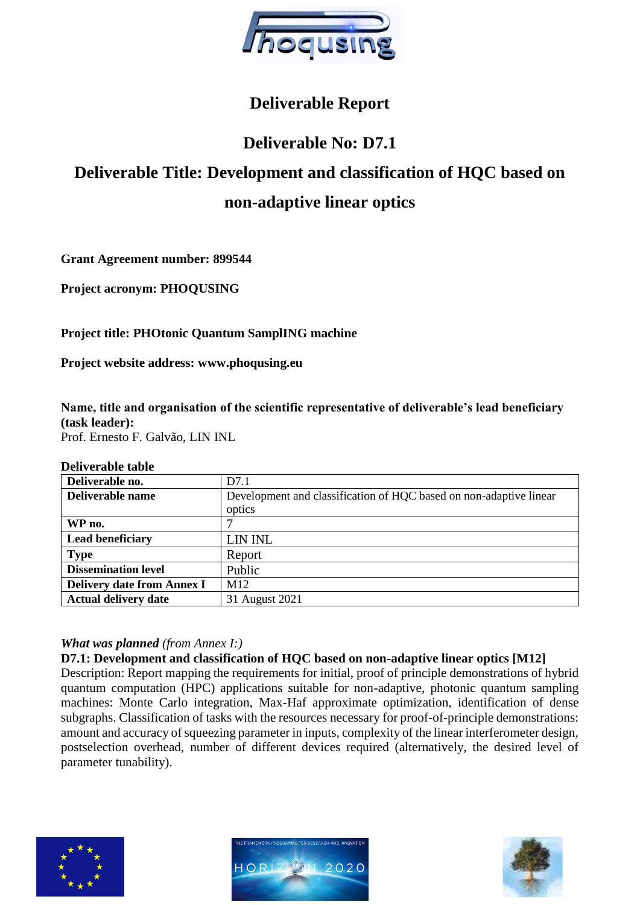

# **Deliverable Report**

# **Deliverable No: D7.1**

# **Deliverable Title: Development and classification of HQC based on non-adaptive linear optics**

**Grant Agreement number: 899544**

**Project acronym: PHOQUSING**

## **Project title: PHOtonic Quantum SamplING machine**

**Project website address: www.phoqusing.eu**

**Name, title and organisation of the scientific representative of deliverable's lead beneficiary (task leader):** 

Prof. Ernesto F. Galvão, LIN INL

#### **Deliverable table**

| Deliverable no.                   | D7.1                                                               |
|-----------------------------------|--------------------------------------------------------------------|
| Deliverable name                  | Development and classification of HQC based on non-adaptive linear |
|                                   | optics                                                             |
| WP no.                            |                                                                    |
| <b>Lead beneficiary</b>           | LIN INL                                                            |
| <b>Type</b>                       | Report                                                             |
| <b>Dissemination level</b>        | Public                                                             |
| <b>Delivery date from Annex I</b> | M <sub>12</sub>                                                    |
| <b>Actual delivery date</b>       | 31 August 2021                                                     |

#### *What was planned (from Annex I:)*

#### **D7.1: Development and classification of HQC based on non-adaptive linear optics [M12]**

Description: Report mapping the requirements for initial, proof of principle demonstrations of hybrid quantum computation (HPC) applications suitable for non-adaptive, photonic quantum sampling machines: Monte Carlo integration, Max-Haf approximate optimization, identification of dense subgraphs. Classification of tasks with the resources necessary for proof-of-principle demonstrations: amount and accuracy of squeezing parameter in inputs, complexity of the linear interferometer design, postselection overhead, number of different devices required (alternatively, the desired level of parameter tunability).





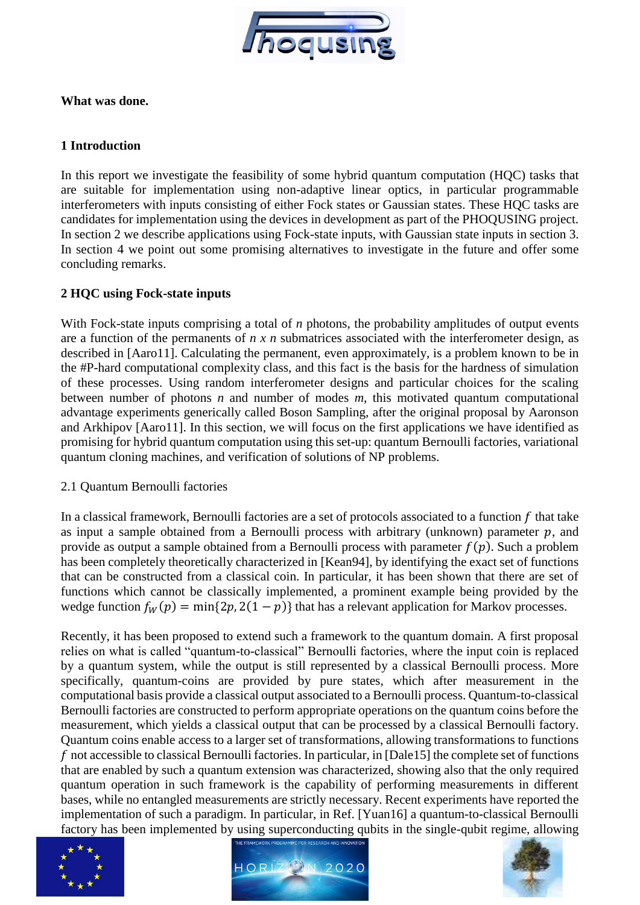

#### **What was done.**

#### **1 Introduction**

In this report we investigate the feasibility of some hybrid quantum computation (HQC) tasks that are suitable for implementation using non-adaptive linear optics, in particular programmable interferometers with inputs consisting of either Fock states or Gaussian states. These HQC tasks are candidates for implementation using the devices in development as part of the PHOQUSING project. In section 2 we describe applications using Fock-state inputs, with Gaussian state inputs in section 3. In section 4 we point out some promising alternatives to investigate in the future and offer some concluding remarks.

### **2 HQC using Fock-state inputs**

With Fock-state inputs comprising a total of *n* photons, the probability amplitudes of output events are a function of the permanents of *n x n* submatrices associated with the interferometer design, as described in [Aaro11]. Calculating the permanent, even approximately, is a problem known to be in the #P-hard computational complexity class, and this fact is the basis for the hardness of simulation of these processes. Using random interferometer designs and particular choices for the scaling between number of photons *n* and number of modes *m*, this motivated quantum computational advantage experiments generically called Boson Sampling, after the original proposal by Aaronson and Arkhipov [Aaro11]. In this section, we will focus on the first applications we have identified as promising for hybrid quantum computation using this set-up: quantum Bernoulli factories, variational quantum cloning machines, and verification of solutions of NP problems.

2.1 Quantum Bernoulli factories

In a classical framework, Bernoulli factories are a set of protocols associated to a function  $f$  that take as input a sample obtained from a Bernoulli process with arbitrary (unknown) parameter  $p$ , and provide as output a sample obtained from a Bernoulli process with parameter  $f(p)$ . Such a problem has been completely theoretically characterized in [Kean94], by identifying the exact set of functions that can be constructed from a classical coin. In particular, it has been shown that there are set of functions which cannot be classically implemented, a prominent example being provided by the wedge function  $f_W(p) = \min\{2p, 2(1 - p)\}\$  that has a relevant application for Markov processes.

Recently, it has been proposed to extend such a framework to the quantum domain. A first proposal relies on what is called "quantum-to-classical" Bernoulli factories, where the input coin is replaced by a quantum system, while the output is still represented by a classical Bernoulli process. More specifically, quantum-coins are provided by pure states, which after measurement in the computational basis provide a classical output associated to a Bernoulli process. Quantum-to-classical Bernoulli factories are constructed to perform appropriate operations on the quantum coins before the measurement, which yields a classical output that can be processed by a classical Bernoulli factory. Quantum coins enable access to a larger set of transformations, allowing transformations to functions f not accessible to classical Bernoulli factories. In particular, in [Dale15] the complete set of functions that are enabled by such a quantum extension was characterized, showing also that the only required quantum operation in such framework is the capability of performing measurements in different bases, while no entangled measurements are strictly necessary. Recent experiments have reported the implementation of such a paradigm. In particular, in Ref. [Yuan16] a quantum-to-classical Bernoulli factory has been implemented by using superconducting qubits in the single-qubit regime, allowing





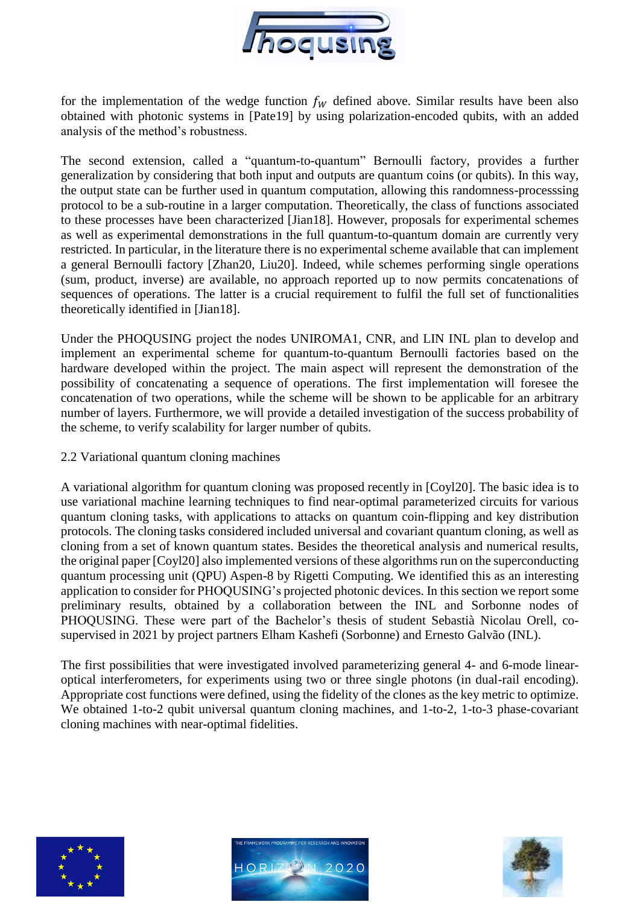

for the implementation of the wedge function  $f_W$  defined above. Similar results have been also obtained with photonic systems in [Pate19] by using polarization-encoded qubits, with an added analysis of the method's robustness.

The second extension, called a "quantum-to-quantum" Bernoulli factory, provides a further generalization by considering that both input and outputs are quantum coins (or qubits). In this way, the output state can be further used in quantum computation, allowing this randomness-processsing protocol to be a sub-routine in a larger computation. Theoretically, the class of functions associated to these processes have been characterized [Jian18]. However, proposals for experimental schemes as well as experimental demonstrations in the full quantum-to-quantum domain are currently very restricted. In particular, in the literature there is no experimental scheme available that can implement a general Bernoulli factory [Zhan20, Liu20]. Indeed, while schemes performing single operations (sum, product, inverse) are available, no approach reported up to now permits concatenations of sequences of operations. The latter is a crucial requirement to fulfil the full set of functionalities theoretically identified in [Jian18].

Under the PHOQUSING project the nodes UNIROMA1, CNR, and LIN INL plan to develop and implement an experimental scheme for quantum-to-quantum Bernoulli factories based on the hardware developed within the project. The main aspect will represent the demonstration of the possibility of concatenating a sequence of operations. The first implementation will foresee the concatenation of two operations, while the scheme will be shown to be applicable for an arbitrary number of layers. Furthermore, we will provide a detailed investigation of the success probability of the scheme, to verify scalability for larger number of qubits.

#### 2.2 Variational quantum cloning machines

A variational algorithm for quantum cloning was proposed recently in [Coyl20]. The basic idea is to use variational machine learning techniques to find near-optimal parameterized circuits for various quantum cloning tasks, with applications to attacks on quantum coin-flipping and key distribution protocols. The cloning tasks considered included universal and covariant quantum cloning, as well as cloning from a set of known quantum states. Besides the theoretical analysis and numerical results, the original paper [Coyl20] also implemented versions of these algorithms run on the superconducting quantum processing unit (QPU) Aspen-8 by Rigetti Computing. We identified this as an interesting application to consider for PHOQUSING's projected photonic devices. In this section we report some preliminary results, obtained by a collaboration between the INL and Sorbonne nodes of PHOQUSING. These were part of the Bachelor's thesis of student Sebastià Nicolau Orell, cosupervised in 2021 by project partners Elham Kashefi (Sorbonne) and Ernesto Galvão (INL).

The first possibilities that were investigated involved parameterizing general 4- and 6-mode linearoptical interferometers, for experiments using two or three single photons (in dual-rail encoding). Appropriate cost functions were defined, using the fidelity of the clones as the key metric to optimize. We obtained 1-to-2 qubit universal quantum cloning machines, and 1-to-2, 1-to-3 phase-covariant cloning machines with near-optimal fidelities.





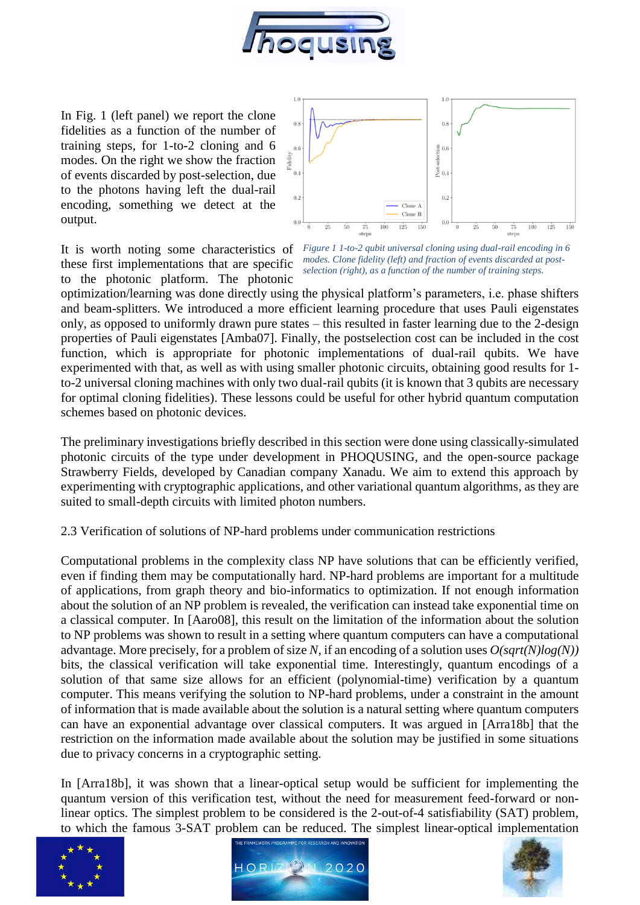

In Fig. 1 (left panel) we report the clone fidelities as a function of the number of training steps, for 1-to-2 cloning and 6 modes. On the right we show the fraction of events discarded by post-selection, due to the photons having left the dual-rail encoding, something we detect at the output.

these first implementations that are specific to the photonic platform. The photonic



It is worth noting some characteristics of *Figure 1 1-to-2 qubit universal cloning using dual-rail encoding in 6 modes. Clone fidelity (left) and fraction of events discarded at postselection (right), as a function of the number of training steps.* 

optimization/learning was done directly using the physical platform's parameters, i.e. phase shifters and beam-splitters. We introduced a more efficient learning procedure that uses Pauli eigenstates only, as opposed to uniformly drawn pure states – this resulted in faster learning due to the 2-design properties of Pauli eigenstates [Amba07]. Finally, the postselection cost can be included in the cost function, which is appropriate for photonic implementations of dual-rail qubits. We have experimented with that, as well as with using smaller photonic circuits, obtaining good results for 1 to-2 universal cloning machines with only two dual-rail qubits (it is known that 3 qubits are necessary for optimal cloning fidelities). These lessons could be useful for other hybrid quantum computation schemes based on photonic devices.

The preliminary investigations briefly described in this section were done using classically-simulated photonic circuits of the type under development in PHOQUSING, and the open-source package Strawberry Fields, developed by Canadian company Xanadu. We aim to extend this approach by experimenting with cryptographic applications, and other variational quantum algorithms, as they are suited to small-depth circuits with limited photon numbers.

#### 2.3 Verification of solutions of NP-hard problems under communication restrictions

Computational problems in the complexity class NP have solutions that can be efficiently verified, even if finding them may be computationally hard. NP-hard problems are important for a multitude of applications, from graph theory and bio-informatics to optimization. If not enough information about the solution of an NP problem is revealed, the verification can instead take exponential time on a classical computer. In [Aaro08], this result on the limitation of the information about the solution to NP problems was shown to result in a setting where quantum computers can have a computational advantage. More precisely, for a problem of size *N*, if an encoding of a solution uses *O(sqrt(N)log(N))* bits, the classical verification will take exponential time. Interestingly, quantum encodings of a solution of that same size allows for an efficient (polynomial-time) verification by a quantum computer. This means verifying the solution to NP-hard problems, under a constraint in the amount of information that is made available about the solution is a natural setting where quantum computers can have an exponential advantage over classical computers. It was argued in [Arra18b] that the restriction on the information made available about the solution may be justified in some situations due to privacy concerns in a cryptographic setting.

In [Arra18b], it was shown that a linear-optical setup would be sufficient for implementing the quantum version of this verification test, without the need for measurement feed-forward or nonlinear optics. The simplest problem to be considered is the 2-out-of-4 satisfiability (SAT) problem, to which the famous 3-SAT problem can be reduced. The simplest linear-optical implementation





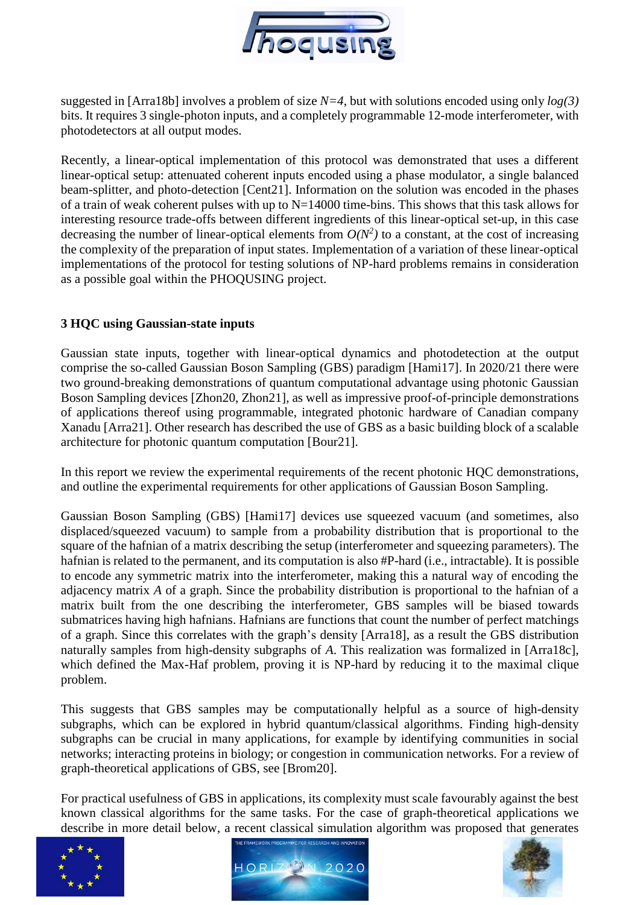

suggested in [Arra18b] involves a problem of size *N=4*, but with solutions encoded using only *log(3)* bits. It requires 3 single-photon inputs, and a completely programmable 12-mode interferometer, with photodetectors at all output modes.

Recently, a linear-optical implementation of this protocol was demonstrated that uses a different linear-optical setup: attenuated coherent inputs encoded using a phase modulator, a single balanced beam-splitter, and photo-detection [Cent21]. Information on the solution was encoded in the phases of a train of weak coherent pulses with up to  $N=14000$  time-bins. This shows that this task allows for interesting resource trade-offs between different ingredients of this linear-optical set-up, in this case decreasing the number of linear-optical elements from  $O(N^2)$  to a constant, at the cost of increasing the complexity of the preparation of input states. Implementation of a variation of these linear-optical implementations of the protocol for testing solutions of NP-hard problems remains in consideration as a possible goal within the PHOQUSING project.

#### **3 HQC using Gaussian-state inputs**

Gaussian state inputs, together with linear-optical dynamics and photodetection at the output comprise the so-called Gaussian Boson Sampling (GBS) paradigm [Hami17]. In 2020/21 there were two ground-breaking demonstrations of quantum computational advantage using photonic Gaussian Boson Sampling devices [Zhon20, Zhon21], as well as impressive proof-of-principle demonstrations of applications thereof using programmable, integrated photonic hardware of Canadian company Xanadu [Arra21]. Other research has described the use of GBS as a basic building block of a scalable architecture for photonic quantum computation [Bour21].

In this report we review the experimental requirements of the recent photonic HQC demonstrations, and outline the experimental requirements for other applications of Gaussian Boson Sampling.

Gaussian Boson Sampling (GBS) [Hami17] devices use squeezed vacuum (and sometimes, also displaced/squeezed vacuum) to sample from a probability distribution that is proportional to the square of the hafnian of a matrix describing the setup (interferometer and squeezing parameters). The hafnian is related to the permanent, and its computation is also #P-hard (i.e., intractable). It is possible to encode any symmetric matrix into the interferometer, making this a natural way of encoding the adjacency matrix *A* of a graph. Since the probability distribution is proportional to the hafnian of a matrix built from the one describing the interferometer, GBS samples will be biased towards submatrices having high hafnians. Hafnians are functions that count the number of perfect matchings of a graph. Since this correlates with the graph's density [Arra18], as a result the GBS distribution naturally samples from high-density subgraphs of *A*. This realization was formalized in [Arra18c], which defined the Max-Haf problem, proving it is NP-hard by reducing it to the maximal clique problem.

This suggests that GBS samples may be computationally helpful as a source of high-density subgraphs, which can be explored in hybrid quantum/classical algorithms. Finding high-density subgraphs can be crucial in many applications, for example by identifying communities in social networks; interacting proteins in biology; or congestion in communication networks. For a review of graph-theoretical applications of GBS, see [Brom20].

For practical usefulness of GBS in applications, its complexity must scale favourably against the best known classical algorithms for the same tasks. For the case of graph-theoretical applications we describe in more detail below, a recent classical simulation algorithm was proposed that generates





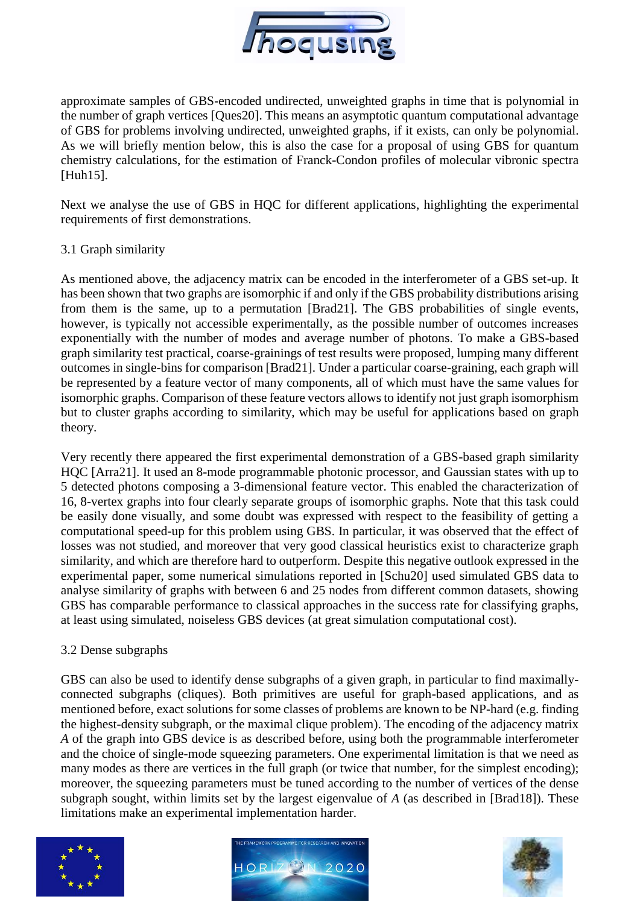

approximate samples of GBS-encoded undirected, unweighted graphs in time that is polynomial in the number of graph vertices [Ques20]. This means an asymptotic quantum computational advantage of GBS for problems involving undirected, unweighted graphs, if it exists, can only be polynomial. As we will briefly mention below, this is also the case for a proposal of using GBS for quantum chemistry calculations, for the estimation of Franck-Condon profiles of molecular vibronic spectra [Huh15].

Next we analyse the use of GBS in HQC for different applications, highlighting the experimental requirements of first demonstrations.

#### 3.1 Graph similarity

As mentioned above, the adjacency matrix can be encoded in the interferometer of a GBS set-up. It has been shown that two graphs are isomorphic if and only if the GBS probability distributions arising from them is the same, up to a permutation [Brad21]. The GBS probabilities of single events, however, is typically not accessible experimentally, as the possible number of outcomes increases exponentially with the number of modes and average number of photons. To make a GBS-based graph similarity test practical, coarse-grainings of test results were proposed, lumping many different outcomes in single-bins for comparison [Brad21]. Under a particular coarse-graining, each graph will be represented by a feature vector of many components, all of which must have the same values for isomorphic graphs. Comparison of these feature vectors allows to identify not just graph isomorphism but to cluster graphs according to similarity, which may be useful for applications based on graph theory.

Very recently there appeared the first experimental demonstration of a GBS-based graph similarity HQC [Arra21]. It used an 8-mode programmable photonic processor, and Gaussian states with up to 5 detected photons composing a 3-dimensional feature vector. This enabled the characterization of 16, 8-vertex graphs into four clearly separate groups of isomorphic graphs. Note that this task could be easily done visually, and some doubt was expressed with respect to the feasibility of getting a computational speed-up for this problem using GBS. In particular, it was observed that the effect of losses was not studied, and moreover that very good classical heuristics exist to characterize graph similarity, and which are therefore hard to outperform. Despite this negative outlook expressed in the experimental paper, some numerical simulations reported in [Schu20] used simulated GBS data to analyse similarity of graphs with between 6 and 25 nodes from different common datasets, showing GBS has comparable performance to classical approaches in the success rate for classifying graphs, at least using simulated, noiseless GBS devices (at great simulation computational cost).

#### 3.2 Dense subgraphs

GBS can also be used to identify dense subgraphs of a given graph, in particular to find maximallyconnected subgraphs (cliques). Both primitives are useful for graph-based applications, and as mentioned before, exact solutions for some classes of problems are known to be NP-hard (e.g. finding the highest-density subgraph, or the maximal clique problem). The encoding of the adjacency matrix *A* of the graph into GBS device is as described before, using both the programmable interferometer and the choice of single-mode squeezing parameters. One experimental limitation is that we need as many modes as there are vertices in the full graph (or twice that number, for the simplest encoding); moreover, the squeezing parameters must be tuned according to the number of vertices of the dense subgraph sought, within limits set by the largest eigenvalue of *A* (as described in [Brad18]). These limitations make an experimental implementation harder.





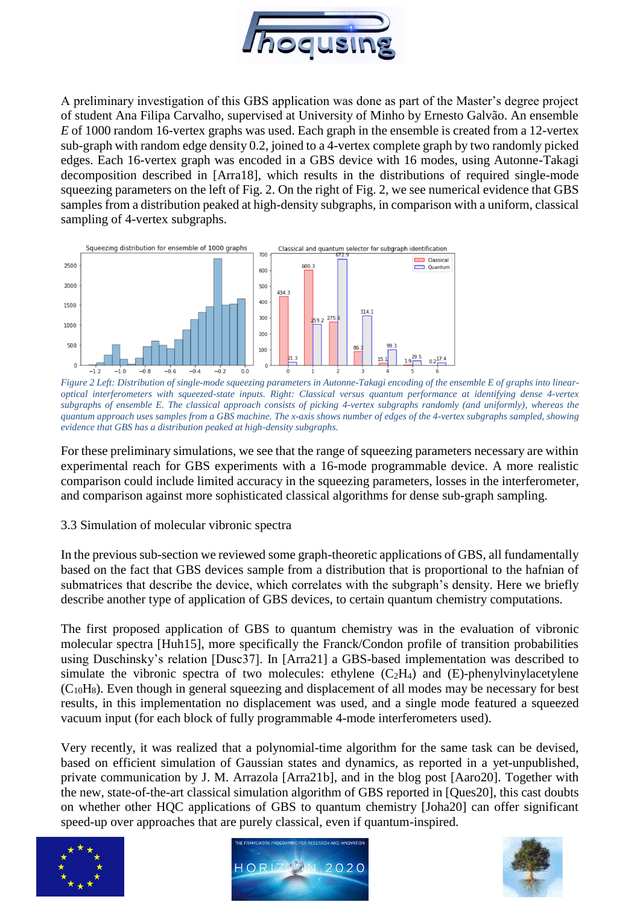

A preliminary investigation of this GBS application was done as part of the Master's degree project of student Ana Filipa Carvalho, supervised at University of Minho by Ernesto Galvão. An ensemble *E* of 1000 random 16-vertex graphs was used. Each graph in the ensemble is created from a 12-vertex sub-graph with random edge density 0.2, joined to a 4-vertex complete graph by two randomly picked edges. Each 16-vertex graph was encoded in a GBS device with 16 modes, using Autonne-Takagi decomposition described in [Arra18], which results in the distributions of required single-mode squeezing parameters on the left of Fig. 2. On the right of Fig. 2, we see numerical evidence that GBS samples from a distribution peaked at high-density subgraphs, in comparison with a uniform, classical sampling of 4-vertex subgraphs.



*Figure 2 Left: Distribution of single-mode squeezing parameters in Autonne-Takagi encoding of the ensemble E of graphs into linearoptical interferometers with squeezed-state inputs. Right: Classical versus quantum performance at identifying dense 4-vertex subgraphs of ensemble E. The classical approach consists of picking 4-vertex subgraphs randomly (and uniformly), whereas the quantum approach uses samples from a GBS machine. The x-axis shows number of edges of the 4-vertex subgraphs sampled, showing evidence that GBS has a distribution peaked at high-density subgraphs.*

For these preliminary simulations, we see that the range of squeezing parameters necessary are within experimental reach for GBS experiments with a 16-mode programmable device. A more realistic comparison could include limited accuracy in the squeezing parameters, losses in the interferometer, and comparison against more sophisticated classical algorithms for dense sub-graph sampling.

#### 3.3 Simulation of molecular vibronic spectra

In the previous sub-section we reviewed some graph-theoretic applications of GBS, all fundamentally based on the fact that GBS devices sample from a distribution that is proportional to the hafnian of submatrices that describe the device, which correlates with the subgraph's density. Here we briefly describe another type of application of GBS devices, to certain quantum chemistry computations.

The first proposed application of GBS to quantum chemistry was in the evaluation of vibronic molecular spectra [Huh15], more specifically the Franck/Condon profile of transition probabilities using Duschinsky's relation [Dusc37]. In [Arra21] a GBS-based implementation was described to simulate the vibronic spectra of two molecules: ethylene  $(C_2H_4)$  and  $(E)$ -phenylvinylacetylene  $(C_{10}H_8)$ . Even though in general squeezing and displacement of all modes may be necessary for best results, in this implementation no displacement was used, and a single mode featured a squeezed vacuum input (for each block of fully programmable 4-mode interferometers used).

Very recently, it was realized that a polynomial-time algorithm for the same task can be devised, based on efficient simulation of Gaussian states and dynamics, as reported in a yet-unpublished, private communication by J. M. Arrazola [Arra21b], and in the blog post [Aaro20]. Together with the new, state-of-the-art classical simulation algorithm of GBS reported in [Ques20], this cast doubts on whether other HQC applications of GBS to quantum chemistry [Joha20] can offer significant speed-up over approaches that are purely classical, even if quantum-inspired.





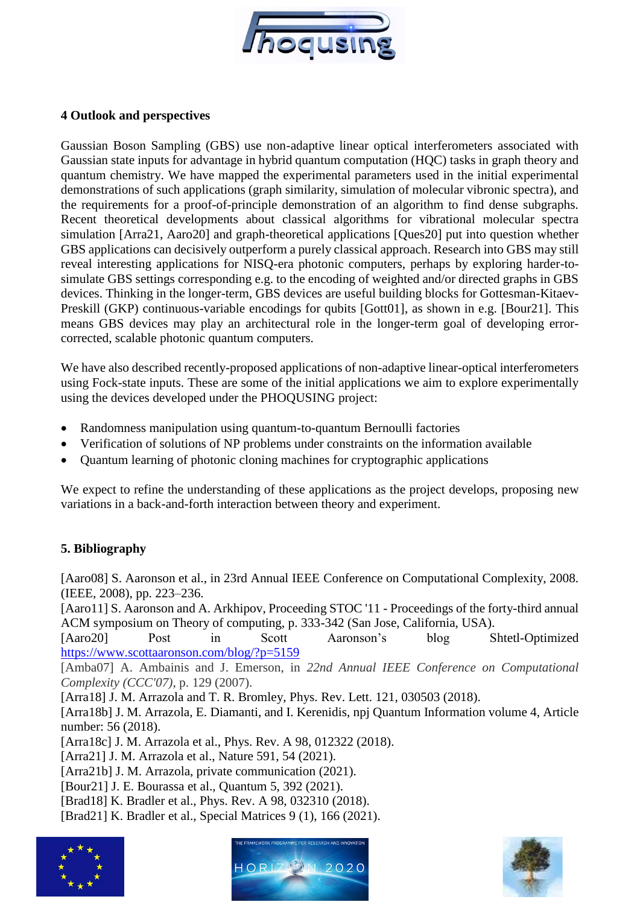

#### **4 Outlook and perspectives**

Gaussian Boson Sampling (GBS) use non-adaptive linear optical interferometers associated with Gaussian state inputs for advantage in hybrid quantum computation (HQC) tasks in graph theory and quantum chemistry. We have mapped the experimental parameters used in the initial experimental demonstrations of such applications (graph similarity, simulation of molecular vibronic spectra), and the requirements for a proof-of-principle demonstration of an algorithm to find dense subgraphs. Recent theoretical developments about classical algorithms for vibrational molecular spectra simulation [Arra21, Aaro20] and graph-theoretical applications [Ques20] put into question whether GBS applications can decisively outperform a purely classical approach. Research into GBS may still reveal interesting applications for NISQ-era photonic computers, perhaps by exploring harder-tosimulate GBS settings corresponding e.g. to the encoding of weighted and/or directed graphs in GBS devices. Thinking in the longer-term, GBS devices are useful building blocks for Gottesman-Kitaev-Preskill (GKP) continuous-variable encodings for qubits [Gott01], as shown in e.g. [Bour21]. This means GBS devices may play an architectural role in the longer-term goal of developing errorcorrected, scalable photonic quantum computers.

We have also described recently-proposed applications of non-adaptive linear-optical interferometers using Fock-state inputs. These are some of the initial applications we aim to explore experimentally using the devices developed under the PHOQUSING project:

- Randomness manipulation using quantum-to-quantum Bernoulli factories
- Verification of solutions of NP problems under constraints on the information available
- Quantum learning of photonic cloning machines for cryptographic applications

We expect to refine the understanding of these applications as the project develops, proposing new variations in a back-and-forth interaction between theory and experiment.

## **5. Bibliography**

[Aaro08] S. Aaronson et al., in 23rd Annual IEEE Conference on Computational Complexity, 2008. (IEEE, 2008), pp. 223–236.

[Aaro11] S. Aaronson and A. Arkhipov, Proceeding STOC '11 - Proceedings of the forty-third annual ACM symposium on Theory of computing, p. 333-342 (San Jose, California, USA).

[Aaro20] Post in Scott Aaronson's blog Shtetl-Optimized <https://www.scottaaronson.com/blog/?p=5159>

[Amba07] A. Ambainis and J. Emerson, in *22nd Annual IEEE Conference on Computational Complexity (CCC'07)*, p. 129 (2007).

[Arra18] J. M. Arrazola and T. R. Bromley, Phys. Rev. Lett. 121, 030503 (2018).

[Arra18b] J. M. Arrazola, E. Diamanti, and I. Kerenidis, npj Quantum Information volume 4, Article number: 56 (2018).

[Arra18c] J. M. Arrazola et al., Phys. Rev. A 98, 012322 (2018).

[Arra21] J. M. Arrazola et al., Nature 591, 54 (2021).

[Arra21b] J. M. Arrazola, private communication (2021).

[Bour21] J. E. Bourassa et al., Quantum 5, 392 (2021).

- [Brad18] K. Bradler et al., Phys. Rev. A 98, 032310 (2018).
- [Brad21] K. Bradler et al., Special Matrices 9 (1), 166 (2021).